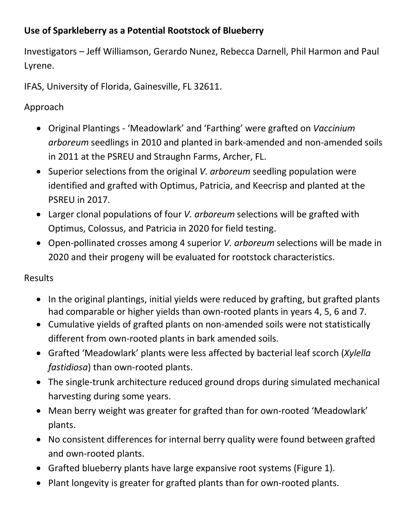## **Use of Sparkleberry as a Potential Rootstock of Blueberry**

Investigators – Jeff Williamson, Gerardo Nunez, Rebecca Darnell, Phil Harmon and Paul Lyrene.

IFAS, University of Florida, Gainesville, FL 32611.

Approach

- Original Plantings 'Meadowlark' and 'Farthing' were grafted on *Vaccinium arboreum* seedlings in 2010 and planted in bark-amended and non-amended soils in 2011 at the PSREU and Straughn Farms, Archer, FL.
- Superior selections from the original *V. arboreum* seedling population were identified and grafted with Optimus, Patricia, and Keecrisp and planted at the PSREU in 2017.
- Larger clonal populations of four *V. arboreum* selections will be grafted with Optimus, Colossus, and Patricia in 2020 for field testing.
- Open-pollinated crosses among 4 superior *V. arboreum* selections will be made in 2020 and their progeny will be evaluated for rootstock characteristics.

## Results

- In the original plantings, initial yields were reduced by grafting, but grafted plants had comparable or higher yields than own-rooted plants in years 4, 5, 6 and 7.
- Cumulative yields of grafted plants on non-amended soils were not statistically different from own-rooted plants in bark amended soils.
- Grafted 'Meadowlark' plants were less affected by bacterial leaf scorch (*Xylella fastidiosa*) than own-rooted plants.
- The single-trunk architecture reduced ground drops during simulated mechanical harvesting during some years.
- Mean berry weight was greater for grafted than for own-rooted 'Meadowlark' plants.
- No consistent differences for internal berry quality were found between grafted and own-rooted plants.
- Grafted blueberry plants have large expansive root systems (Figure 1).
- Plant longevity is greater for grafted plants than for own-rooted plants.